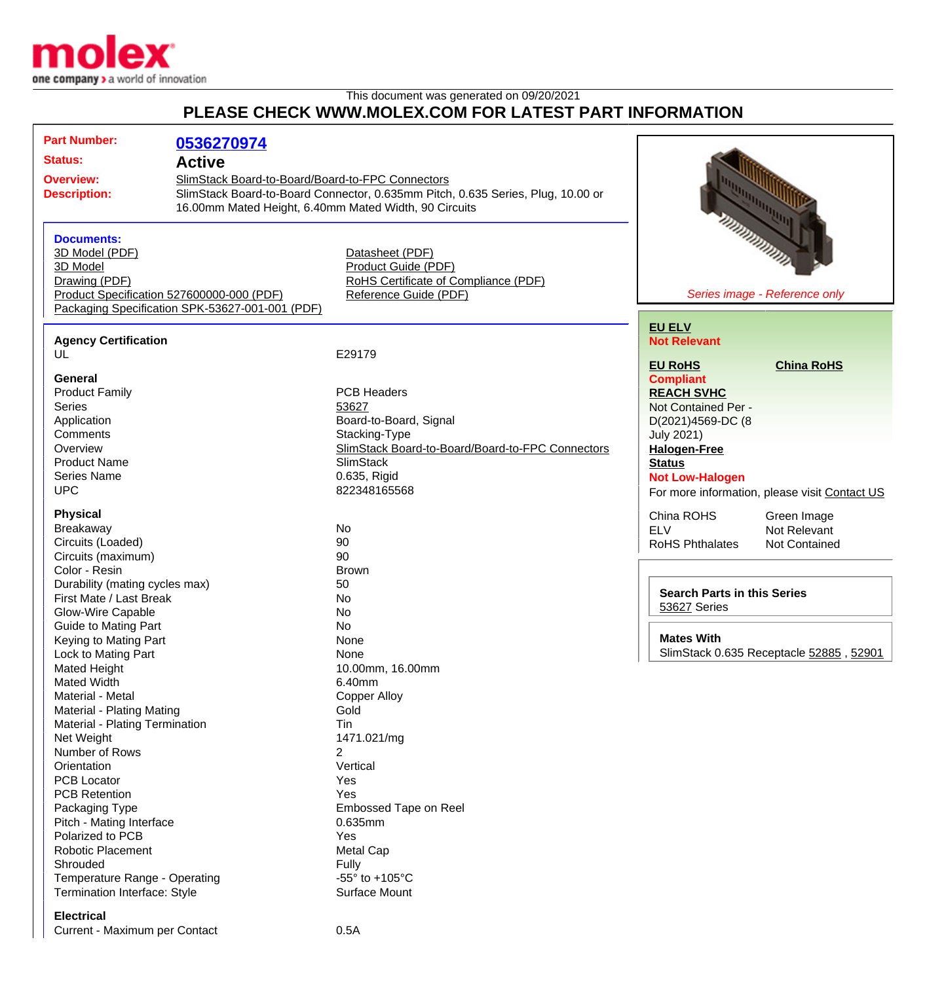

## This document was generated on 09/20/2021 **PLEASE CHECK WWW.MOLEX.COM FOR LATEST PART INFORMATION**

|                                                 | <b>Part Number:</b>            | 0536270974                                            |                                                                                 |                                               |
|-------------------------------------------------|--------------------------------|-------------------------------------------------------|---------------------------------------------------------------------------------|-----------------------------------------------|
| <b>Status:</b>                                  |                                | <b>Active</b>                                         |                                                                                 |                                               |
|                                                 |                                |                                                       |                                                                                 |                                               |
|                                                 | <b>Overview:</b>               | SlimStack Board-to-Board/Board-to-FPC Connectors      |                                                                                 |                                               |
| <b>Description:</b>                             |                                |                                                       | SlimStack Board-to-Board Connector, 0.635mm Pitch, 0.635 Series, Plug, 10.00 or |                                               |
|                                                 |                                | 16.00mm Mated Height, 6.40mm Mated Width, 90 Circuits |                                                                                 |                                               |
|                                                 |                                |                                                       |                                                                                 | <b>MANDONALISTS</b>                           |
|                                                 | <b>Documents:</b>              |                                                       |                                                                                 |                                               |
|                                                 | 3D Model (PDF)                 |                                                       | Datasheet (PDF)                                                                 |                                               |
|                                                 | 3D Model                       |                                                       | Product Guide (PDF)                                                             |                                               |
|                                                 | Drawing (PDF)                  |                                                       | RoHS Certificate of Compliance (PDF)                                            |                                               |
|                                                 |                                | Product Specification 527600000-000 (PDF)             | Reference Guide (PDF)                                                           | Series image - Reference only                 |
| Packaging Specification SPK-53627-001-001 (PDF) |                                |                                                       |                                                                                 |                                               |
|                                                 |                                |                                                       |                                                                                 | <b>EU ELV</b>                                 |
|                                                 | <b>Agency Certification</b>    |                                                       |                                                                                 | <b>Not Relevant</b>                           |
|                                                 | UL                             |                                                       | E29179                                                                          | <b>EU RoHS</b><br><b>China RoHS</b>           |
|                                                 | <b>General</b>                 |                                                       |                                                                                 |                                               |
|                                                 | <b>Product Family</b>          |                                                       | <b>PCB Headers</b>                                                              | <b>Compliant</b><br><b>REACH SVHC</b>         |
|                                                 | <b>Series</b>                  |                                                       | 53627                                                                           | Not Contained Per -                           |
|                                                 | Application                    |                                                       | Board-to-Board, Signal                                                          |                                               |
|                                                 | Comments                       |                                                       |                                                                                 | D(2021)4569-DC (8                             |
|                                                 | Overview                       |                                                       | Stacking-Type<br>SlimStack Board-to-Board/Board-to-FPC Connectors               | <b>July 2021)</b>                             |
|                                                 | <b>Product Name</b>            |                                                       | <b>SlimStack</b>                                                                | <b>Halogen-Free</b>                           |
|                                                 | Series Name                    |                                                       | 0.635, Rigid                                                                    | <b>Status</b>                                 |
|                                                 | <b>UPC</b>                     |                                                       | 822348165568                                                                    | <b>Not Low-Halogen</b>                        |
|                                                 |                                |                                                       |                                                                                 | For more information, please visit Contact US |
|                                                 | <b>Physical</b>                |                                                       |                                                                                 | China ROHS<br>Green Image                     |
|                                                 | Breakaway                      |                                                       | No                                                                              | <b>ELV</b><br>Not Relevant                    |
|                                                 | Circuits (Loaded)              |                                                       | 90                                                                              | <b>RoHS Phthalates</b><br>Not Contained       |
|                                                 | Circuits (maximum)             |                                                       | 90                                                                              |                                               |
|                                                 | Color - Resin                  |                                                       | <b>Brown</b>                                                                    |                                               |
|                                                 | Durability (mating cycles max) |                                                       | 50                                                                              |                                               |
|                                                 | First Mate / Last Break        |                                                       | No                                                                              | <b>Search Parts in this Series</b>            |
|                                                 | Glow-Wire Capable              |                                                       | No                                                                              | 53627 Series                                  |
|                                                 | <b>Guide to Mating Part</b>    |                                                       | <b>No</b>                                                                       |                                               |
|                                                 | Keying to Mating Part          |                                                       | None                                                                            | <b>Mates With</b>                             |
|                                                 | Lock to Mating Part            |                                                       | None                                                                            | SlimStack 0.635 Receptacle 52885, 52901       |
|                                                 | <b>Mated Height</b>            |                                                       | 10.00mm, 16.00mm                                                                |                                               |
|                                                 | <b>Mated Width</b>             |                                                       | 6.40mm                                                                          |                                               |
|                                                 | Material - Metal               |                                                       | <b>Copper Alloy</b>                                                             |                                               |
|                                                 | Material - Plating Mating      |                                                       | Gold                                                                            |                                               |
|                                                 | Material - Plating Termination |                                                       | Tin                                                                             |                                               |
|                                                 | Net Weight                     |                                                       | 1471.021/mg                                                                     |                                               |
|                                                 | Number of Rows                 |                                                       | 2                                                                               |                                               |
|                                                 | Orientation                    |                                                       | Vertical                                                                        |                                               |
|                                                 | <b>PCB Locator</b>             |                                                       | Yes                                                                             |                                               |
|                                                 | <b>PCB Retention</b>           |                                                       | Yes                                                                             |                                               |
|                                                 | Packaging Type                 |                                                       | Embossed Tape on Reel                                                           |                                               |
|                                                 | Pitch - Mating Interface       |                                                       | 0.635mm                                                                         |                                               |
|                                                 | Polarized to PCB               |                                                       | Yes                                                                             |                                               |
|                                                 | <b>Robotic Placement</b>       |                                                       | <b>Metal Cap</b>                                                                |                                               |
|                                                 | Shrouded                       |                                                       | <b>Fully</b>                                                                    |                                               |
|                                                 | Temperature Range - Operating  |                                                       | -55 $\degree$ to +105 $\degree$ C                                               |                                               |
|                                                 | Termination Interface: Style   |                                                       | Surface Mount                                                                   |                                               |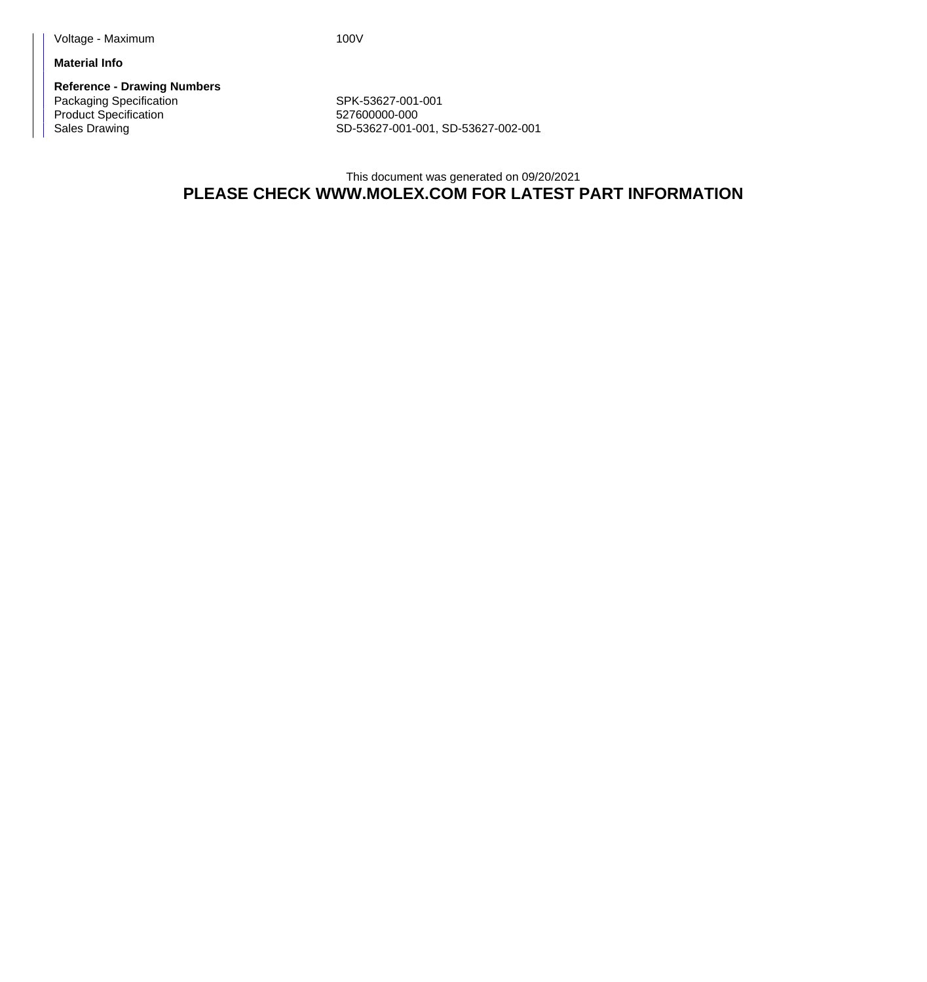**Material Info**

**Reference - Drawing Numbers** Packaging Specification Network SPK-53627-001-001 Product Specification 627600000-000

Sales Drawing Sales Drawing SD-53627-001-001, SD-53627-002-001

This document was generated on 09/20/2021 **PLEASE CHECK WWW.MOLEX.COM FOR LATEST PART INFORMATION**